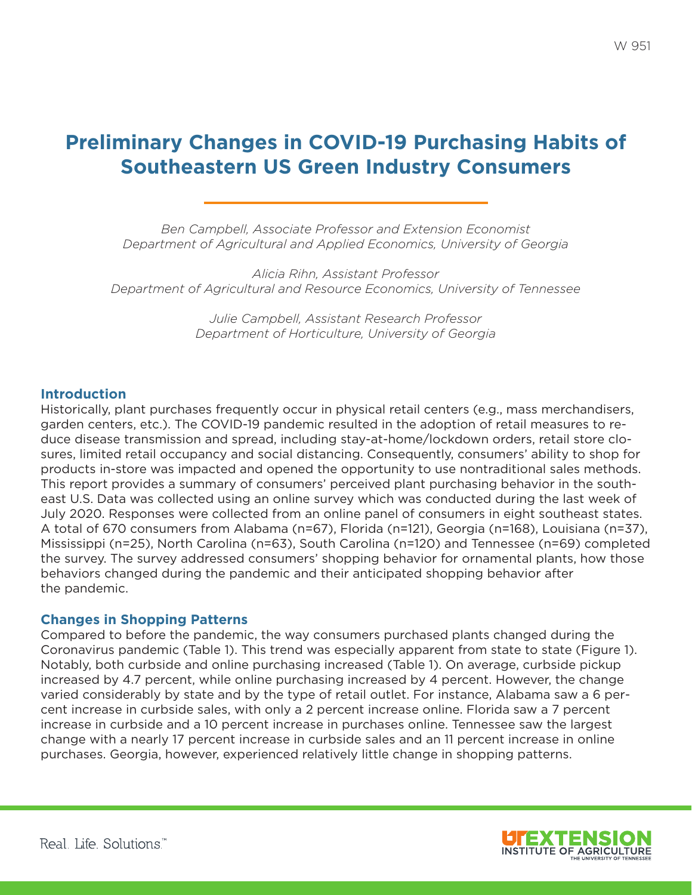# **Preliminary Changes in COVID-19 Purchasing Habits of Southeastern US Green Industry Consumers**

*Ben Campbell, Associate Professor and Extension Economist Department of Agricultural and Applied Economics, University of Georgia*

*Alicia Rihn, Assistant Professor Department of Agricultural and Resource Economics, University of Tennessee*

> *Julie Campbell, Assistant Research Professor Department of Horticulture, University of Georgia*

## **Introduction**

Historically, plant purchases frequently occur in physical retail centers (e.g., mass merchandisers, garden centers, etc.). The COVID-19 pandemic resulted in the adoption of retail measures to reduce disease transmission and spread, including stay-at-home/lockdown orders, retail store closures, limited retail occupancy and social distancing. Consequently, consumers' ability to shop for products in-store was impacted and opened the opportunity to use nontraditional sales methods. This report provides a summary of consumers' perceived plant purchasing behavior in the southeast U.S. Data was collected using an online survey which was conducted during the last week of July 2020. Responses were collected from an online panel of consumers in eight southeast states. A total of 670 consumers from Alabama (n=67), Florida (n=121), Georgia (n=168), Louisiana (n=37), Mississippi (n=25), North Carolina (n=63), South Carolina (n=120) and Tennessee (n=69) completed the survey. The survey addressed consumers' shopping behavior for ornamental plants, how those behaviors changed during the pandemic and their anticipated shopping behavior after the pandemic.

## **Changes in Shopping Patterns**

Compared to before the pandemic, the way consumers purchased plants changed during the Coronavirus pandemic (Table 1). This trend was especially apparent from state to state (Figure 1). Notably, both curbside and online purchasing increased (Table 1). On average, curbside pickup increased by 4.7 percent, while online purchasing increased by 4 percent. However, the change varied considerably by state and by the type of retail outlet. For instance, Alabama saw a 6 percent increase in curbside sales, with only a 2 percent increase online. Florida saw a 7 percent increase in curbside and a 10 percent increase in purchases online. Tennessee saw the largest change with a nearly 17 percent increase in curbside sales and an 11 percent increase in online purchases. Georgia, however, experienced relatively little change in shopping patterns.

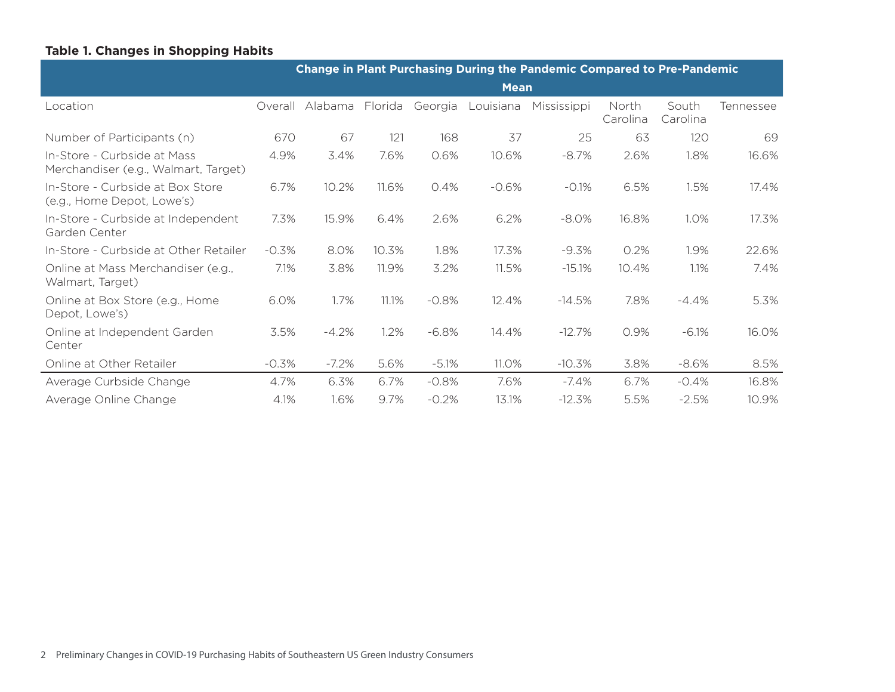# **Table 1. Changes in Shopping Habits**

|                                                                     | <b>Change in Plant Purchasing During the Pandemic Compared to Pre-Pandemic</b> |          |         |         |           |             |                   |                   |           |
|---------------------------------------------------------------------|--------------------------------------------------------------------------------|----------|---------|---------|-----------|-------------|-------------------|-------------------|-----------|
|                                                                     | <b>Mean</b>                                                                    |          |         |         |           |             |                   |                   |           |
| Location                                                            | Overall                                                                        | Alabama  | Florida | Georgia | Louisiana | Mississippi | North<br>Carolina | South<br>Carolina | Tennessee |
| Number of Participants (n)                                          | 670                                                                            | 67       | 121     | 168     | 37        | 25          | 63                | 120               | 69        |
| In-Store - Curbside at Mass<br>Merchandiser (e.g., Walmart, Target) | 4.9%                                                                           | 3.4%     | 7.6%    | 0.6%    | 10.6%     | $-8.7%$     | 2.6%              | 1.8%              | 16.6%     |
| In-Store - Curbside at Box Store<br>(e.g., Home Depot, Lowe's)      | 6.7%                                                                           | 10.2%    | 11.6%   | 0.4%    | $-0.6%$   | $-0.1%$     | 6.5%              | 1.5%              | 17.4%     |
| In-Store - Curbside at Independent<br>Garden Center                 | 7.3%                                                                           | 15.9%    | 6.4%    | 2.6%    | 6.2%      | $-8.0%$     | 16.8%             | 1.0%              | 17.3%     |
| In-Store - Curbside at Other Retailer                               | $-0.3%$                                                                        | 8.0%     | 10.3%   | 1.8%    | 17.3%     | $-9.3\%$    | 0.2%              | 1.9%              | 22.6%     |
| Online at Mass Merchandiser (e.g.,<br>Walmart, Target)              | 7.1%                                                                           | 3.8%     | 11.9%   | 3.2%    | 11.5%     | $-15.1%$    | 10.4%             | 1.1%              | 7.4%      |
| Online at Box Store (e.g., Home<br>Depot, Lowe's)                   | 6.0%                                                                           | 1.7%     | 11.1%   | $-0.8%$ | 12.4%     | $-14.5%$    | 7.8%              | $-4.4%$           | 5.3%      |
| Online at Independent Garden<br>Center                              | 3.5%                                                                           | $-4.2%$  | 1.2%    | $-6.8%$ | 14.4%     | $-12.7%$    | 0.9%              | $-6.1%$           | 16.0%     |
| Online at Other Retailer                                            | $-0.3%$                                                                        | $-7.2\%$ | 5.6%    | $-5.1%$ | 11.0%     | $-10.3\%$   | 3.8%              | -8.6%             | 8.5%      |
| Average Curbside Change                                             | 4.7%                                                                           | 6.3%     | 6.7%    | $-0.8%$ | 7.6%      | $-7.4%$     | 6.7%              | $-0.4%$           | 16.8%     |
| Average Online Change                                               | 4.1%                                                                           | 1.6%     | 9.7%    | $-0.2%$ | 13.1%     | $-12.3%$    | 5.5%              | $-2.5%$           | 10.9%     |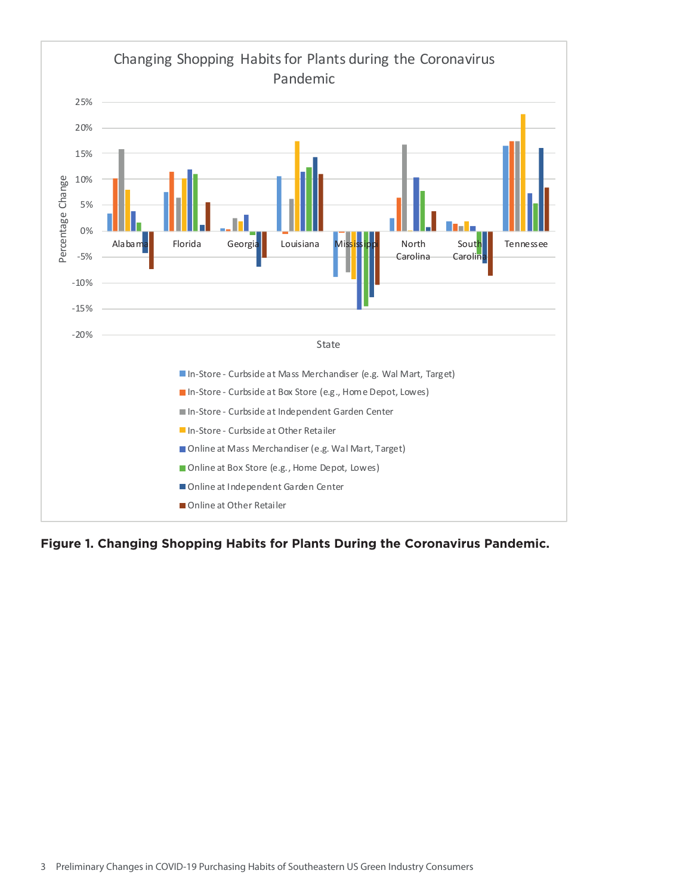

**Figure 1. Changing Shopping Habits for Plants During the Coronavirus Pandemic.**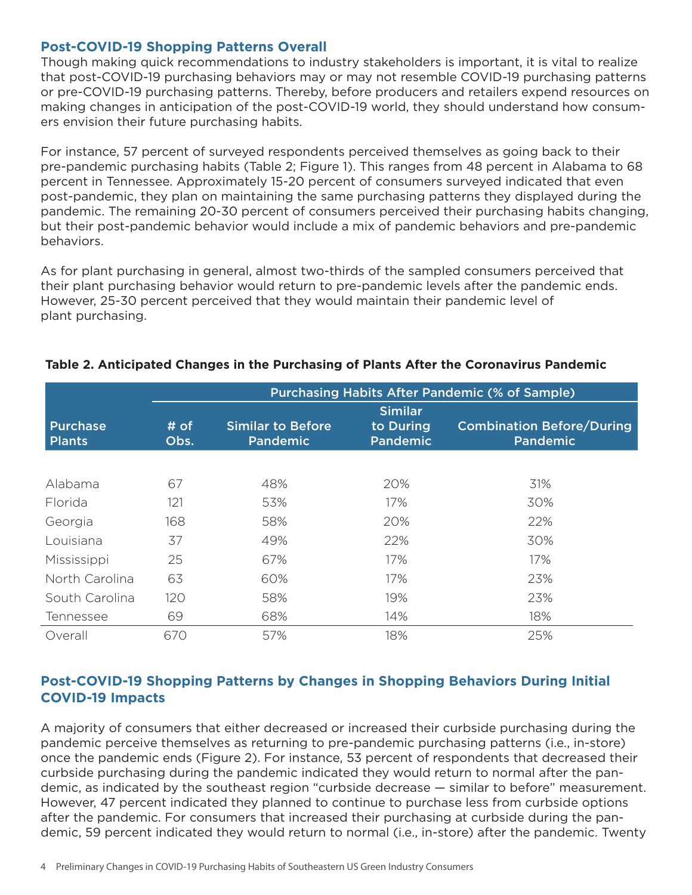## **Post-COVID-19 Shopping Patterns Overall**

Though making quick recommendations to industry stakeholders is important, it is vital to realize that post-COVID-19 purchasing behaviors may or may not resemble COVID-19 purchasing patterns or pre-COVID-19 purchasing patterns. Thereby, before producers and retailers expend resources on making changes in anticipation of the post-COVID-19 world, they should understand how consumers envision their future purchasing habits.

For instance, 57 percent of surveyed respondents perceived themselves as going back to their pre-pandemic purchasing habits (Table 2; Figure 1). This ranges from 48 percent in Alabama to 68 percent in Tennessee. Approximately 15-20 percent of consumers surveyed indicated that even post-pandemic, they plan on maintaining the same purchasing patterns they displayed during the pandemic. The remaining 20-30 percent of consumers perceived their purchasing habits changing, but their post-pandemic behavior would include a mix of pandemic behaviors and pre-pandemic behaviors.

As for plant purchasing in general, almost two-thirds of the sampled consumers perceived that their plant purchasing behavior would return to pre-pandemic levels after the pandemic ends. However, 25-30 percent perceived that they would maintain their pandemic level of plant purchasing.

|                                  | <b>Purchasing Habits After Pandemic (% of Sample)</b> |                                             |                                                |                                                     |  |  |  |  |
|----------------------------------|-------------------------------------------------------|---------------------------------------------|------------------------------------------------|-----------------------------------------------------|--|--|--|--|
| <b>Purchase</b><br><b>Plants</b> | # of<br>Obs.                                          | <b>Similar to Before</b><br><b>Pandemic</b> | <b>Similar</b><br>to During<br><b>Pandemic</b> | <b>Combination Before/During</b><br><b>Pandemic</b> |  |  |  |  |
|                                  |                                                       |                                             |                                                |                                                     |  |  |  |  |
| Alabama                          | 67                                                    | 48%                                         | 20%                                            | 31%                                                 |  |  |  |  |
| Florida                          | 121                                                   | 53%                                         | 17%                                            | 30%                                                 |  |  |  |  |
| Georgia                          | 168                                                   | 58%                                         | 20%                                            | 22%                                                 |  |  |  |  |
| Louisiana                        | 37                                                    | 49%                                         | 22%                                            | 30%                                                 |  |  |  |  |
| Mississippi                      | 25                                                    | 67%                                         | 17%                                            | 17%                                                 |  |  |  |  |
| North Carolina                   | 63                                                    | 60%                                         | 17%                                            | 23%                                                 |  |  |  |  |
| South Carolina                   | 120                                                   | 58%                                         | 19%                                            | 23%                                                 |  |  |  |  |
| Tennessee                        | 69                                                    | 68%                                         | 14%                                            | 18%                                                 |  |  |  |  |
| Overall                          | 670                                                   | 57%                                         | 18%                                            | 25%                                                 |  |  |  |  |

## **Table 2. Anticipated Changes in the Purchasing of Plants After the Coronavirus Pandemic**

# **Post-COVID-19 Shopping Patterns by Changes in Shopping Behaviors During Initial COVID-19 Impacts**

A majority of consumers that either decreased or increased their curbside purchasing during the pandemic perceive themselves as returning to pre-pandemic purchasing patterns (i.e., in-store) once the pandemic ends (Figure 2). For instance, 53 percent of respondents that decreased their curbside purchasing during the pandemic indicated they would return to normal after the pandemic, as indicated by the southeast region "curbside decrease — similar to before" measurement. However, 47 percent indicated they planned to continue to purchase less from curbside options after the pandemic. For consumers that increased their purchasing at curbside during the pandemic, 59 percent indicated they would return to normal (i.e., in-store) after the pandemic. Twenty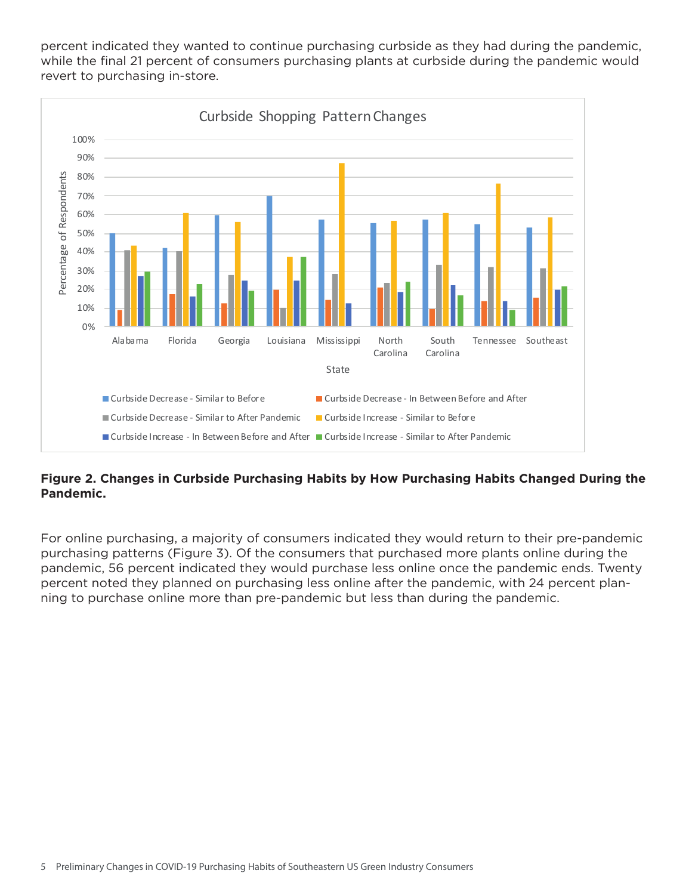percent indicated they wanted to continue purchasing curbside as they had during the pandemic, while the final 21 percent of consumers purchasing plants at curbside during the pandemic would revert to purchasing in-store.



## **Figure 2. Changes in Curbside Purchasing Habits by How Purchasing Habits Changed During the Pandemic.**

For online purchasing, a majority of consumers indicated they would return to their pre-pandemic purchasing patterns (Figure 3). Of the consumers that purchased more plants online during the pandemic, 56 percent indicated they would purchase less online once the pandemic ends. Twenty percent noted they planned on purchasing less online after the pandemic, with 24 percent planning to purchase online more than pre-pandemic but less than during the pandemic.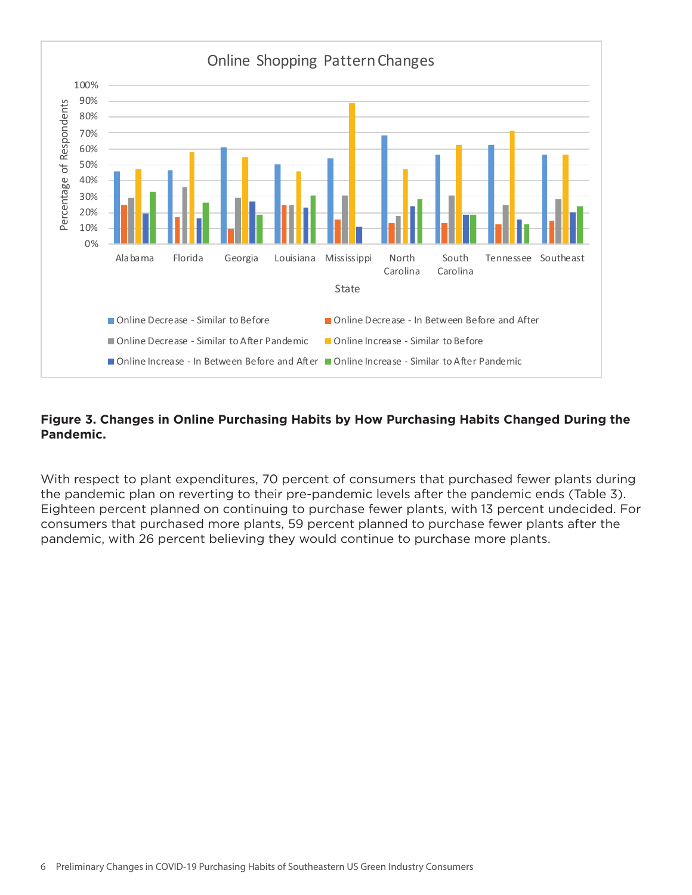

## **Figure 3. Changes in Online Purchasing Habits by How Purchasing Habits Changed During the Pandemic.**

With respect to plant expenditures, 70 percent of consumers that purchased fewer plants during the pandemic plan on reverting to their pre-pandemic levels after the pandemic ends (Table 3). Eighteen percent planned on continuing to purchase fewer plants, with 13 percent undecided. For consumers that purchased more plants, 59 percent planned to purchase fewer plants after the pandemic, with 26 percent believing they would continue to purchase more plants.